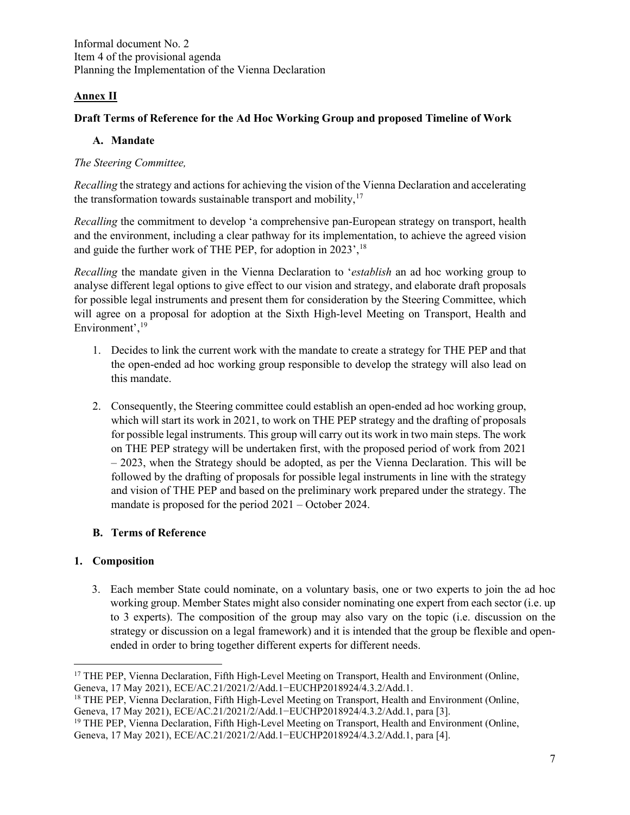Informal document No. 2 Item 4 of the provisional agenda Planning the Implementation of the Vienna Declaration

# **Annex II**

## **Draft Terms of Reference for the Ad Hoc Working Group and proposed Timeline of Work**

## **A. Mandate**

#### *The Steering Committee,*

*Recalling* the strategy and actions for achieving the vision of the Vienna Declaration and accelerating the transformation towards sustainable transport and mobility, $17$ 

*Recalling* the commitment to develop 'a comprehensive pan-European strategy on transport, health and the environment, including a clear pathway for its implementation, to achieve the agreed vision and guide the further work of THE PEP, for adoption in 2023', <sup>[18](#page-0-1)</sup>

*Recalling* the mandate given in the Vienna Declaration to '*establish* an ad hoc working group to analyse different legal options to give effect to our vision and strategy, and elaborate draft proposals for possible legal instruments and present them for consideration by the Steering Committee, which will agree on a proposal for adoption at the Sixth High-level Meeting on Transport, Health and Environment',<sup>[19](#page-0-2)</sup>

- 1. Decides to link the current work with the mandate to create a strategy for THE PEP and that the open-ended ad hoc working group responsible to develop the strategy will also lead on this mandate.
- 2. Consequently, the Steering committee could establish an open-ended ad hoc working group, which will start its work in 2021, to work on THE PEP strategy and the drafting of proposals for possible legal instruments. This group will carry out its work in two main steps. The work on THE PEP strategy will be undertaken first, with the proposed period of work from 2021 – 2023, when the Strategy should be adopted, as per the Vienna Declaration. This will be followed by the drafting of proposals for possible legal instruments in line with the strategy and vision of THE PEP and based on the preliminary work prepared under the strategy. The mandate is proposed for the period 2021 – October 2024.

## **B. Terms of Reference**

## **1. Composition**

3. Each member State could nominate, on a voluntary basis, one or two experts to join the ad hoc working group. Member States might also consider nominating one expert from each sector (i.e. up to 3 experts). The composition of the group may also vary on the topic (i.e. discussion on the strategy or discussion on a legal framework) and it is intended that the group be flexible and openended in order to bring together different experts for different needs.

<span id="page-0-0"></span><sup>&</sup>lt;sup>17</sup> THE PEP, Vienna Declaration, Fifth High-Level Meeting on Transport, Health and Environment (Online, Geneva, 17 May 2021), ECE/AC.21/2021/2/Add.1−EUCHP2018924/4.3.2/Add.1.

<span id="page-0-1"></span><sup>&</sup>lt;sup>18</sup> THE PEP, Vienna Declaration, Fifth High-Level Meeting on Transport, Health and Environment (Online, Geneva, 17 May 2021), ECE/AC.21/2021/2/Add.1−EUCHP2018924/4.3.2/Add.1, para [3].

<span id="page-0-2"></span><sup>&</sup>lt;sup>19</sup> THE PEP, Vienna Declaration, Fifth High-Level Meeting on Transport, Health and Environment (Online, Geneva, 17 May 2021), ECE/AC.21/2021/2/Add.1−EUCHP2018924/4.3.2/Add.1, para [4].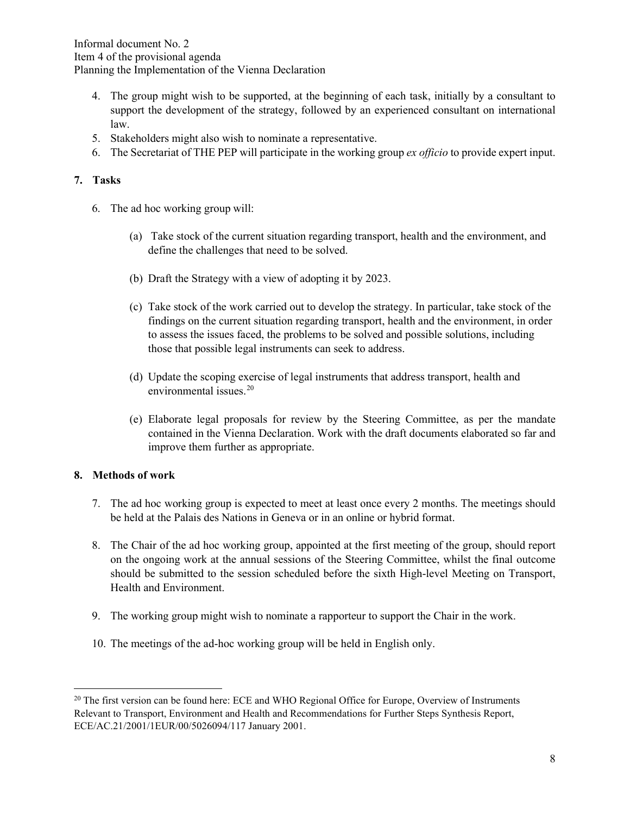Informal document No. 2 Item 4 of the provisional agenda Planning the Implementation of the Vienna Declaration

- 4. The group might wish to be supported, at the beginning of each task, initially by a consultant to support the development of the strategy, followed by an experienced consultant on international law.
- 5. Stakeholders might also wish to nominate a representative.
- 6. The Secretariat of THE PEP will participate in the working group *ex officio* to provide expert input.

#### **7. Tasks**

- 6. The ad hoc working group will:
	- (a) Take stock of the current situation regarding transport, health and the environment, and define the challenges that need to be solved.
	- (b) Draft the Strategy with a view of adopting it by 2023.
	- (c) Take stock of the work carried out to develop the strategy. In particular, take stock of the findings on the current situation regarding transport, health and the environment, in order to assess the issues faced, the problems to be solved and possible solutions, including those that possible legal instruments can seek to address.
	- (d) Update the scoping exercise of legal instruments that address transport, health and environmental issues.<sup>[20](#page-1-0)</sup>
	- (e) Elaborate legal proposals for review by the Steering Committee, as per the mandate contained in the Vienna Declaration. Work with the draft documents elaborated so far and improve them further as appropriate.

#### **8. Methods of work**

- 7. The ad hoc working group is expected to meet at least once every 2 months. The meetings should be held at the Palais des Nations in Geneva or in an online or hybrid format.
- 8. The Chair of the ad hoc working group, appointed at the first meeting of the group, should report on the ongoing work at the annual sessions of the Steering Committee, whilst the final outcome should be submitted to the session scheduled before the sixth High-level Meeting on Transport, Health and Environment.
- 9. The working group might wish to nominate a rapporteur to support the Chair in the work.
- 10. The meetings of the ad-hoc working group will be held in English only.

<span id="page-1-0"></span><sup>&</sup>lt;sup>20</sup> The first version can be found here: ECE and WHO Regional Office for Europe, Overview of Instruments Relevant to Transport, Environment and Health and Recommendations for Further Steps Synthesis Report, ECE/AC.21/2001/1EUR/00/5026094/117 January 2001.